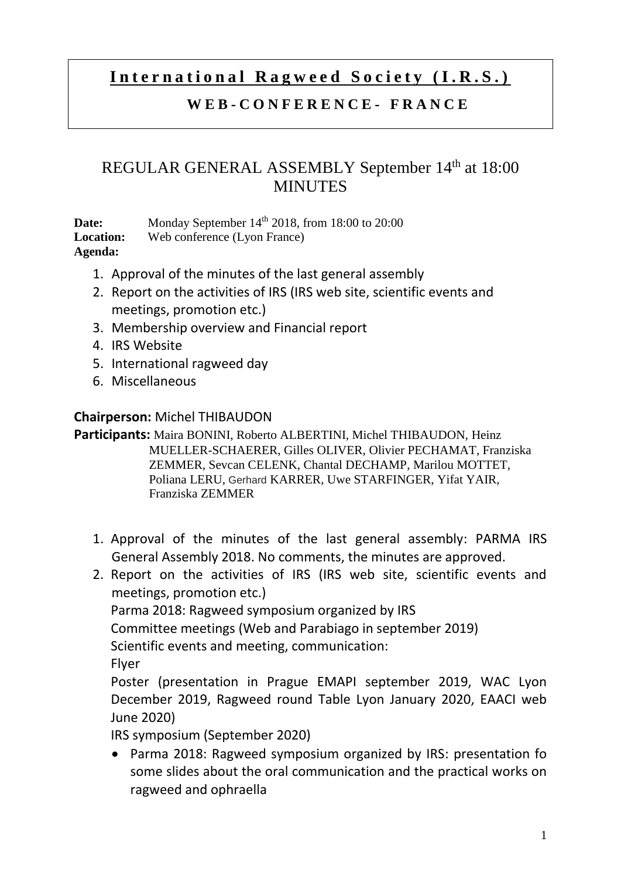# International Ragweed Society (I.R.S.)

### **W E B - C O N F E R E N C E - F R A N C E**

### REGULAR GENERAL ASSEMBLY September 14<sup>th</sup> at 18:00 **MINUTES**

**Date:** Monday September 14<sup>th</sup> 2018, from 18:00 to 20:00 **Location:** Web conference (Lyon France) **Agenda:** 

- 1. Approval of the minutes of the last general assembly
- 2. Report on the activities of IRS (IRS web site, scientific events and meetings, promotion etc.)
- 3. Membership overview and Financial report
- 4. IRS Website
- 5. International ragweed day
- 6. Miscellaneous

### **Chairperson:** Michel THIBAUDON

**Participants:** Maira BONINI, Roberto ALBERTINI, Michel THIBAUDON, Heinz MUELLER-SCHAERER, Gilles OLIVER, Olivier PECHAMAT, Franziska ZEMMER, Sevcan CELENK, Chantal DECHAMP, Marilou MOTTET, Poliana LERU, Gerhard KARRER, Uwe STARFINGER, Yifat YAIR, Franziska ZEMMER

- 1. Approval of the minutes of the last general assembly: PARMA IRS General Assembly 2018. No comments, the minutes are approved.
- 2. Report on the activities of IRS (IRS web site, scientific events and meetings, promotion etc.)

Parma 2018: Ragweed symposium organized by IRS

Committee meetings (Web and Parabiago in september 2019)

Scientific events and meeting, communication:

Flyer

Poster (presentation in Prague EMAPI september 2019, WAC Lyon December 2019, Ragweed round Table Lyon January 2020, EAACI web June 2020)

IRS symposium (September 2020)

 Parma 2018: Ragweed symposium organized by IRS: presentation fo some slides about the oral communication and the practical works on ragweed and ophraella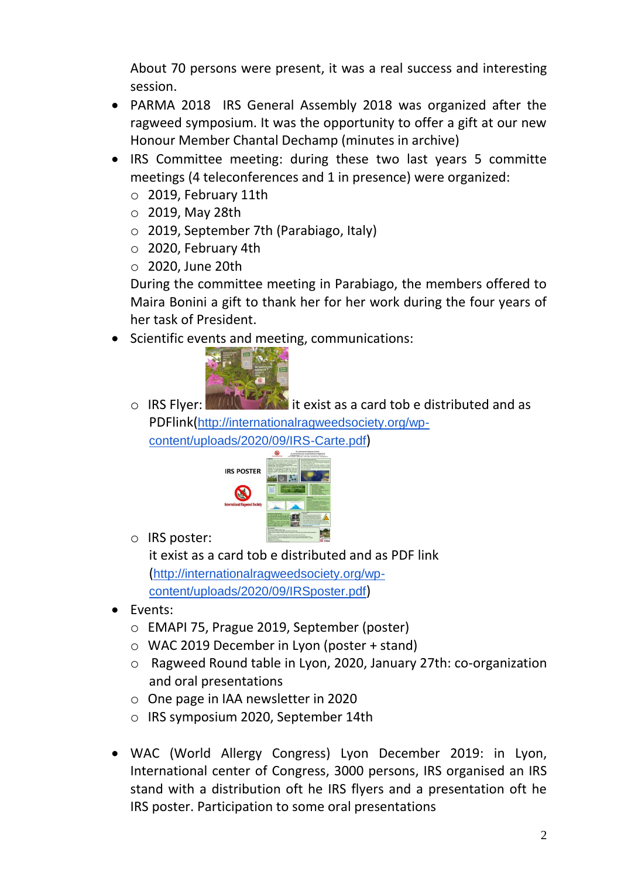About 70 persons were present, it was a real success and interesting session.

- PARMA 2018 IRS General Assembly 2018 was organized after the ragweed symposium. It was the opportunity to offer a gift at our new Honour Member Chantal Dechamp (minutes in archive)
- IRS Committee meeting: during these two last years 5 committe meetings (4 teleconferences and 1 in presence) were organized:
	- o 2019, February 11th
	- o 2019, May 28th
	- o 2019, September 7th (Parabiago, Italy)
	- o 2020, February 4th
	- o 2020, June 20th

During the committee meeting in Parabiago, the members offered to Maira Bonini a gift to thank her for her work during the four years of her task of President.

• Scientific events and meeting, communications:



o IRS Flyer: **WALLACT IS A LIGHTER AND IT** exist as a card tob e distributed and as PDFlink([http://internationalragweedsociety.org/wp](http://internationalragweedsociety.org/wp-content/uploads/2020/09/IRS-Carte.pdf)[content/uploads/2020/09/IRS-Carte.pdf](http://internationalragweedsociety.org/wp-content/uploads/2020/09/IRS-Carte.pdf))



o IRS poster:

it exist as a card tob e distributed and as PDF link ([http://internationalragweedsociety.org/wp](http://internationalragweedsociety.org/wp-content/uploads/2020/09/IRSposter.pdf)[content/uploads/2020/09/IRSposter.pdf](http://internationalragweedsociety.org/wp-content/uploads/2020/09/IRSposter.pdf))

- Events:
	- o EMAPI 75, Prague 2019, September (poster)
	- o WAC 2019 December in Lyon (poster + stand)
	- o Ragweed Round table in Lyon, 2020, January 27th: co-organization and oral presentations
	- o One page in IAA newsletter in 2020
	- o IRS symposium 2020, September 14th
- WAC (World Allergy Congress) Lyon December 2019: in Lyon, International center of Congress, 3000 persons, IRS organised an IRS stand with a distribution oft he IRS flyers and a presentation oft he IRS poster. Participation to some oral presentations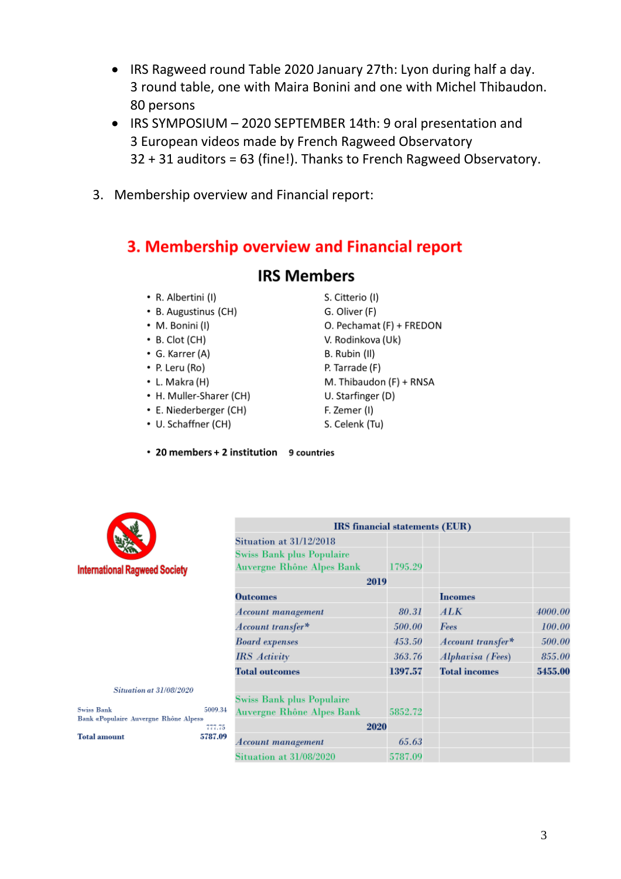- IRS Ragweed round Table 2020 January 27th: Lyon during half a day. 3 round table, one with Maira Bonini and one with Michel Thibaudon. 80 persons
- IRS SYMPOSIUM 2020 SEPTEMBER 14th: 9 oral presentation and 3 European videos made by French Ragweed Observatory 32 + 31 auditors = 63 (fine!). Thanks to French Ragweed Observatory.
- 3. Membership overview and Financial report:

## 3. Membership overview and Financial report

### **IRS Members**

- R. Albertini (I)
- B. Augustinus (CH)
- M. Bonini (I)
- $\cdot$  B. Clot (CH)
- G. Karrer (A)
- P. Leru (Ro)
- L. Makra (H)
- H. Muller-Sharer (CH)
- E. Niederberger (CH)
- U. Schaffner (CH)

#### • 20 members + 2 institution 9 countries



**Situation at 31/08/2020** 

5787

Swiss Bank<br>Bank «Populaire Auvergne Rhône Alpes»<br>777

**Swiss Bank** 

**Total amount** 

|                                  | IRS financial statements (EUR) |                      |         |
|----------------------------------|--------------------------------|----------------------|---------|
| <b>Situation at 31/12/2018</b>   |                                |                      |         |
| <b>Swiss Bank plus Populaire</b> |                                |                      |         |
| Auvergne Rhône Alpes Bank        | 1795.29                        |                      |         |
|                                  | 2019                           |                      |         |
| <b>Outcomes</b>                  |                                | <b>Incomes</b>       |         |
| <i><b>Account management</b></i> | 80.31                          | ALK                  | 4000.00 |
| $\emph{Account transfer*}$       | 500.00                         | Fees                 | 100.00  |
| <b>Board</b> expenses            | 453.50                         | Account transfer*    | 500.00  |
| <b>IRS</b> Activity              | 363.76                         | Alphavisa (Fees)     | 855.00  |
| <b>Total outcomes</b>            | 1397.57                        | <b>Total incomes</b> | 5455.00 |
| <b>Swiss Bank plus Populaire</b> |                                |                      |         |
| Auvergne Rhône Alpes Bank        | 5852.72                        |                      |         |
|                                  | 2020                           |                      |         |
| <i><b>Account management</b></i> | 65.63                          |                      |         |
| Situation at 31/08/2020          | 5787.09                        |                      |         |

### S. Citterio (I)

- G. Oliver (F)
- O. Pechamat (F) + FREDON
- V. Rodinkova (Uk)
- B. Rubin (II)
- P. Tarrade (F)
- M. Thibaudon (F) + RNSA
- U. Starfinger (D)
- F. Zemer (I)
- S. Celenk (Tu)